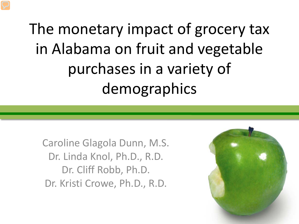The monetary impact of grocery tax in Alabama on fruit and vegetable purchases in a variety of demographics

Caroline Glagola Dunn, M.S. Dr. Linda Knol, Ph.D., R.D. Dr. Cliff Robb, Ph.D. Dr. Kristi Crowe, Ph.D., R.D.

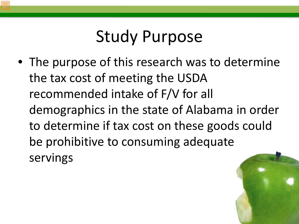#### Study Purpose

• The purpose of this research was to determine the tax cost of meeting the USDA recommended intake of F/V for all demographics in the state of Alabama in order to determine if tax cost on these goods could be prohibitive to consuming adequate servings

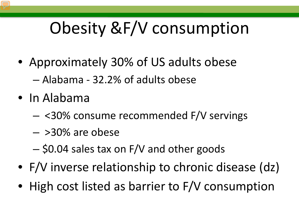# Obesity &F/V consumption

- Approximately 30% of US adults obese
	- Alabama 32.2% of adults obese
- In Alabama
	- <30% consume recommended F/V servings
	- >30% are obese
	- \$0.04 sales tax on F/V and other goods
- F/V inverse relationship to chronic disease (dz)
- High cost listed as barrier to F/V consumption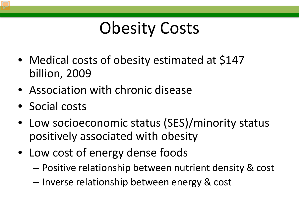## Obesity Costs

- Medical costs of obesity estimated at \$147 billion, 2009
- Association with chronic disease
- Social costs
- Low socioeconomic status (SES)/minority status positively associated with obesity
- Low cost of energy dense foods
	- Positive relationship between nutrient density & cost
	- Inverse relationship between energy & cost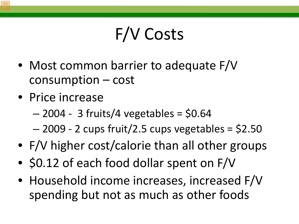## F/V Costs

- Most common barrier to adequate F/V consumption – cost
- Price increase
	- $-$  2004 3 fruits/4 vegetables = \$0.64
	- $-$  2009 2 cups fruit/2.5 cups vegetables = \$2.50
- F/V higher cost/calorie than all other groups
- \$0.12 of each food dollar spent on F/V
- Household income increases, increased F/V spending but not as much as other foods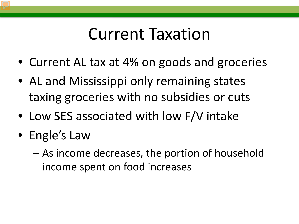#### Current Taxation

- Current AL tax at 4% on goods and groceries
- AL and Mississippi only remaining states taxing groceries with no subsidies or cuts
- Low SES associated with low F/V intake
- Engle's Law
	- As income decreases, the portion of household income spent on food increases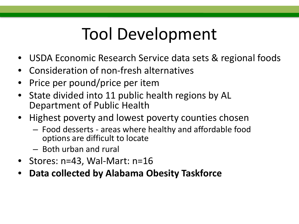## Tool Development

- USDA Economic Research Service data sets & regional foods
- Consideration of non-fresh alternatives
- Price per pound/price per item
- State divided into 11 public health regions by AL Department of Public Health
- Highest poverty and lowest poverty counties chosen
	- Food desserts areas where healthy and affordable food options are difficult to locate
	- Both urban and rural
- Stores: n=43, Wal-Mart: n=16
- **Data collected by Alabama Obesity Taskforce**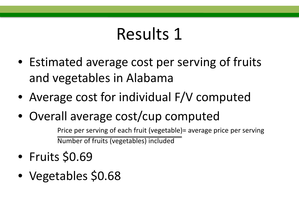- Estimated average cost per serving of fruits and vegetables in Alabama
- Average cost for individual F/V computed
- Overall average cost/cup computed

Price per serving of each fruit (vegetable)= average price per serving Number of fruits (vegetables) included

- Fruits \$0.69
- Vegetables \$0.68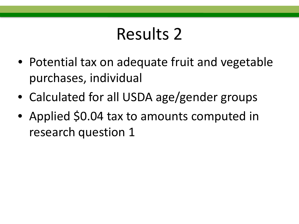- Potential tax on adequate fruit and vegetable purchases, individual
- Calculated for all USDA age/gender groups
- Applied \$0.04 tax to amounts computed in research question 1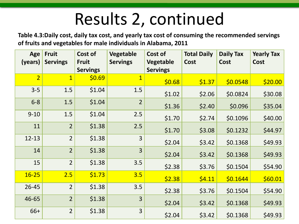## Results 2, continued

**Table 4.3:Daily cost, daily tax cost, and yearly tax cost of consuming the recommended servings of fruits and vegetables for male individuals in Alabama, 2011**

| Age            | <b>Fruit</b>    | Cost of         | <b>Vegetable</b>        | Cost of         | <b>Total Daily</b> | <b>Daily Tax</b> | <b>Yearly Tax</b> |
|----------------|-----------------|-----------------|-------------------------|-----------------|--------------------|------------------|-------------------|
| (years)        | <b>Servings</b> | <b>Fruit</b>    | <b>Servings</b>         | Vegetable       | Cost               | Cost             | <b>Cost</b>       |
|                |                 | <b>Servings</b> |                         | <b>Servings</b> |                    |                  |                   |
| $\overline{2}$ | $\overline{1}$  | \$0.69          | $\overline{\mathbf{1}}$ | \$0.68          | \$1.37             | \$0.0548         | \$20.00           |
| $3 - 5$        | 1.5             | \$1.04          | 1.5                     | \$1.02          | \$2.06             | \$0.0824         | \$30.08           |
| $6 - 8$        | 1.5             | \$1.04          | $\overline{2}$          | \$1.36          | \$2.40             | \$0.096          | \$35.04           |
| $9 - 10$       | 1.5             | \$1.04          | 2.5                     | \$1.70          | \$2.74             | \$0.1096         | \$40.00           |
| 11             | $\overline{2}$  | \$1.38          | 2.5                     | \$1.70          | \$3.08             | \$0.1232         | \$44.97           |
| $12 - 13$      | $\overline{2}$  | \$1.38          | 3                       | \$2.04          | \$3.42             | \$0.1368         | \$49.93           |
| 14             | $\overline{2}$  | \$1.38          | $\overline{3}$          | \$2.04          | \$3.42             | \$0.1368         | \$49.93           |
| 15             | $\overline{2}$  | \$1.38          | 3.5                     | \$2.38          | \$3.76             | \$0.1504         | \$54.90           |
| $16 - 25$      | 2.5             | \$1.73          | 3.5                     | \$2.38          | \$4.11             | \$0.1644         | \$60.01           |
| $26 - 45$      | $\overline{2}$  | \$1.38          | 3.5                     | \$2.38          | \$3.76             | \$0.1504         | \$54.90           |
| 46-65          | $\overline{2}$  | \$1.38          | $\overline{3}$          | \$2.04          | \$3.42             | \$0.1368         | \$49.93           |
| 66+            | $\overline{2}$  | \$1.38          | $\overline{3}$          | \$2.04          | \$3.42             | \$0.1368         | \$49.93           |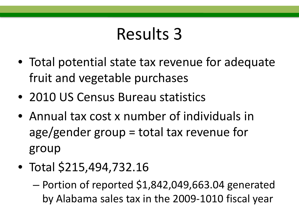- Total potential state tax revenue for adequate fruit and vegetable purchases
- 2010 US Census Bureau statistics
- Annual tax cost x number of individuals in age/gender group = total tax revenue for group
- Total \$215,494,732.16
	- Portion of reported \$1,842,049,663.04 generated by Alabama sales tax in the 2009-1010 fiscal year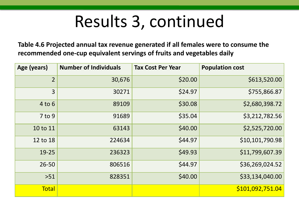## Results 3, continued

**Table 4.6 Projected annual tax revenue generated if all females were to consume the recommended one-cup equivalent servings of fruits and vegetables daily** 

| Age (years)    | <b>Number of Individuals</b> | <b>Tax Cost Per Year</b> | <b>Population cost</b> |
|----------------|------------------------------|--------------------------|------------------------|
| $\overline{2}$ | 30,676                       | \$20.00                  | \$613,520.00           |
| 3              | 30271                        | \$24.97                  | \$755,866.87           |
| $4$ to $6$     | 89109                        | \$30.08                  | \$2,680,398.72         |
| $7$ to 9       | 91689                        | \$35.04                  | \$3,212,782.56         |
| 10 to 11       | 63143                        | \$40.00                  | \$2,525,720.00         |
| 12 to 18       | 224634                       | \$44.97                  | \$10,101,790.98        |
| 19-25          | 236323                       | \$49.93                  | \$11,799,607.39        |
| $26 - 50$      | 806516                       | \$44.97                  | \$36,269,024.52        |
| $>51$          | 828351                       | \$40.00                  | \$33,134,040.00        |
| <b>Total</b>   |                              |                          | \$101,092,751.04       |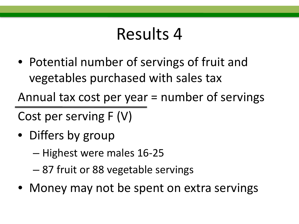• Potential number of servings of fruit and vegetables purchased with sales tax

Annual tax cost per year = number of servings

Cost per serving F (V)

- Differs by group
	- Highest were males 16-25
	- 87 fruit or 88 vegetable servings
- Money may not be spent on extra servings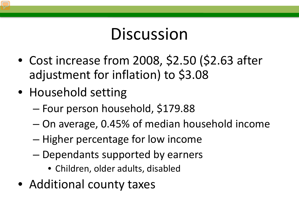## **Discussion**

- Cost increase from 2008, \$2.50 (\$2.63 after adjustment for inflation) to \$3.08
- Household setting
	- Four person household, \$179.88
	- On average, 0.45% of median household income
	- Higher percentage for low income
	- Dependants supported by earners
		- Children, older adults, disabled
- Additional county taxes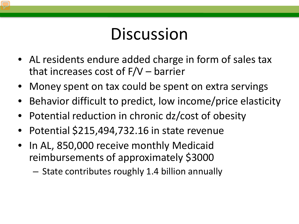## **Discussion**

- AL residents endure added charge in form of sales tax that increases cost of F/V – barrier
- Money spent on tax could be spent on extra servings
- Behavior difficult to predict, low income/price elasticity
- Potential reduction in chronic dz/cost of obesity
- Potential \$215,494,732.16 in state revenue
- In AL, 850,000 receive monthly Medicaid reimbursements of approximately \$3000
	- State contributes roughly 1.4 billion annually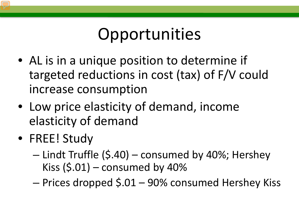## Opportunities

- AL is in a unique position to determine if targeted reductions in cost (tax) of F/V could increase consumption
- Low price elasticity of demand, income elasticity of demand
- FREE! Study
	- Lindt Truffle (\$.40) consumed by 40%; Hershey Kiss  $(5.01)$  – consumed by 40%
	- Prices dropped \$.01 90% consumed Hershey Kiss